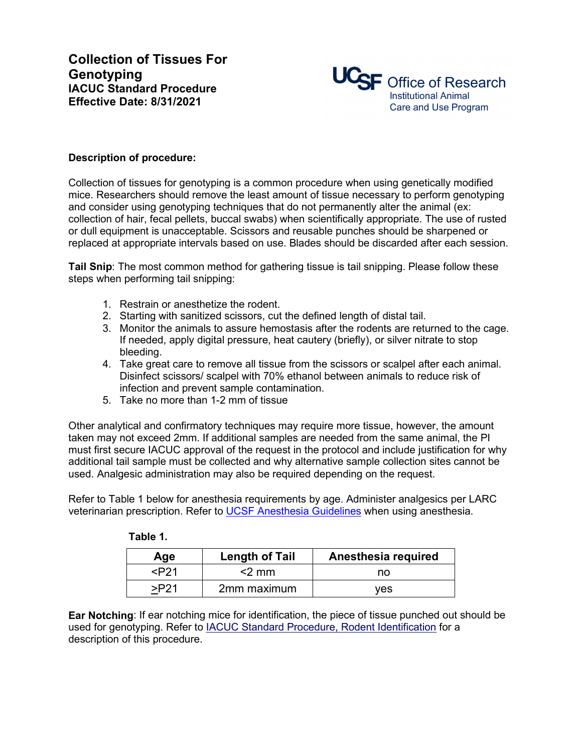

## **Description of procedure:**

Collection of tissues for genotyping is a common procedure when using genetically modified mice. Researchers should remove the least amount of tissue necessary to perform genotyping and consider using genotyping techniques that do not permanently alter the animal (ex: collection of hair, fecal pellets, buccal swabs) when scientifically appropriate. The use of rusted or dull equipment is unacceptable. Scissors and reusable punches should be sharpened or replaced at appropriate intervals based on use. Blades should be discarded after each session.

**Tail Snip**: The most common method for gathering tissue is tail snipping. Please follow these steps when performing tail snipping:

- 1. Restrain or anesthetize the rodent.
- 2. Starting with sanitized scissors, cut the defined length of distal tail.
- 3. Monitor the animals to assure hemostasis after the rodents are returned to the cage. If needed, apply digital pressure, heat cautery (briefly), or silver nitrate to stop bleeding.
- 4. Take great care to remove all tissue from the scissors or scalpel after each animal. Disinfect scissors/ scalpel with 70% ethanol between animals to reduce risk of infection and prevent sample contamination.
- 5. Take no more than 1-2 mm of tissue

Other analytical and confirmatory techniques may require more tissue, however, the amount taken may not exceed 2mm. If additional samples are needed from the same animal, the PI must first secure IACUC approval of the request in the protocol and include justification for why additional tail sample must be collected and why alternative sample collection sites cannot be used. Analgesic administration may also be required depending on the request.

Refer to Table 1 below for anesthesia requirements by age. Administer analgesics per LARC veterinarian prescription. Refer to [UCSF Anesthesia Guidelines](https://iacuc.ucsf.edu/sites/g/files/tkssra751/f/wysiwyg/Guideline%20-%20Anesthesia%20-%20Rodents.pdf) when using anesthesia.

| Age                                                          | <b>Length of Tail</b> | Anesthesia required |
|--------------------------------------------------------------|-----------------------|---------------------|
| <p21< td=""><td><math>&lt;</math>2 mm</td><td>no</td></p21<> | $<$ 2 mm              | no                  |
|                                                              | 2mm maximum           | ves                 |

**Ear Notching**: If ear notching mice for identification, the piece of tissue punched out should be used for genotyping. Refer to **IACUC Standard Procedure, Rodent Identification** for a description of this procedure.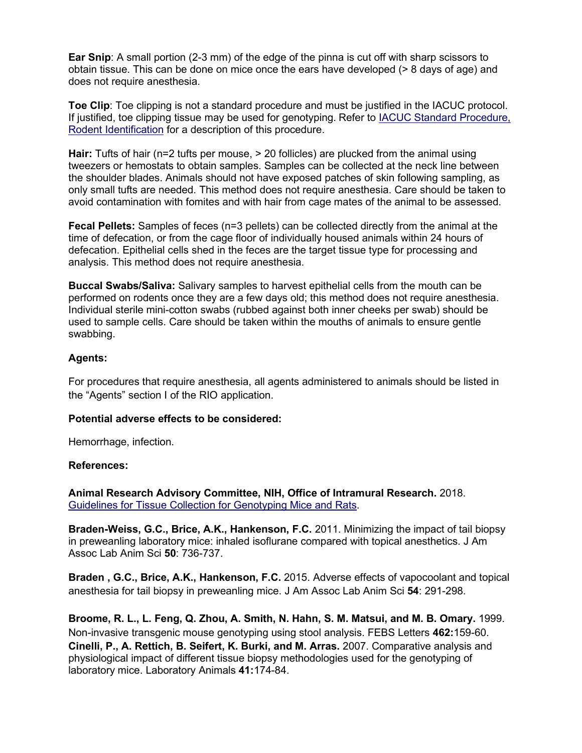**Ear Snip**: A small portion (2-3 mm) of the edge of the pinna is cut off with sharp scissors to obtain tissue. This can be done on mice once the ears have developed (> 8 days of age) and does not require anesthesia.

**Toe Clip**: Toe clipping is not a standard procedure and must be justified in the IACUC protocol. If justified, toe clipping tissue may be used for genotyping. Refer to [IACUC Standard Procedure,](https://iacuc.ucsf.edu/sites/g/files/tkssra751/f/wysiwyg/STD%20PROCEDURE%20-%20Misc%20Rodent%20Proceedures%20-%20Rodent%20Identification.pdf)  [Rodent Identification](https://iacuc.ucsf.edu/sites/g/files/tkssra751/f/wysiwyg/STD%20PROCEDURE%20-%20Misc%20Rodent%20Proceedures%20-%20Rodent%20Identification.pdf) for a description of this procedure.

**Hair:** Tufts of hair (n=2 tufts per mouse, > 20 follicles) are plucked from the animal using tweezers or hemostats to obtain samples. Samples can be collected at the neck line between the shoulder blades. Animals should not have exposed patches of skin following sampling, as only small tufts are needed. This method does not require anesthesia. Care should be taken to avoid contamination with fomites and with hair from cage mates of the animal to be assessed.

**Fecal Pellets:** Samples of feces (n=3 pellets) can be collected directly from the animal at the time of defecation, or from the cage floor of individually housed animals within 24 hours of defecation. Epithelial cells shed in the feces are the target tissue type for processing and analysis. This method does not require anesthesia.

**Buccal Swabs/Saliva:** Salivary samples to harvest epithelial cells from the mouth can be performed on rodents once they are a few days old; this method does not require anesthesia. Individual sterile mini-cotton swabs (rubbed against both inner cheeks per swab) should be used to sample cells. Care should be taken within the mouths of animals to ensure gentle swabbing.

## **Agents:**

For procedures that require anesthesia, all agents administered to animals should be listed in the "Agents" section I of the RIO application.

## **Potential adverse effects to be considered:**

Hemorrhage, infection.

## **References:**

**Animal Research Advisory Committee, NIH, Office of Intramural Research.** 2018. [Guidelines for Tissue Collection for Genotyping Mice and Rats.](https://oacu.oir.nih.gov/sites/default/files/uploads/arac-guidelines/b3-rodent_genotyping.pdf)

**Braden-Weiss, G.C., Brice, A.K., Hankenson, F.C.** 2011. Minimizing the impact of tail biopsy in preweanling laboratory mice: inhaled isoflurane compared with topical anesthetics. J Am Assoc Lab Anim Sci **50**: 736-737.

**Braden , G.C., Brice, A.K., Hankenson, F.C.** 2015. Adverse effects of vapocoolant and topical anesthesia for tail biopsy in preweanling mice. J Am Assoc Lab Anim Sci **54**: 291-298.

**Broome, R. L., L. Feng, Q. Zhou, A. Smith, N. Hahn, S. M. Matsui, and M. B. Omary.** 1999. Non-invasive transgenic mouse genotyping using stool analysis. FEBS Letters **462:**159-60. **Cinelli, P., A. Rettich, B. Seifert, K. Burki, and M. Arras.** 2007. Comparative analysis and physiological impact of different tissue biopsy methodologies used for the genotyping of laboratory mice. Laboratory Animals **41:**174-84.